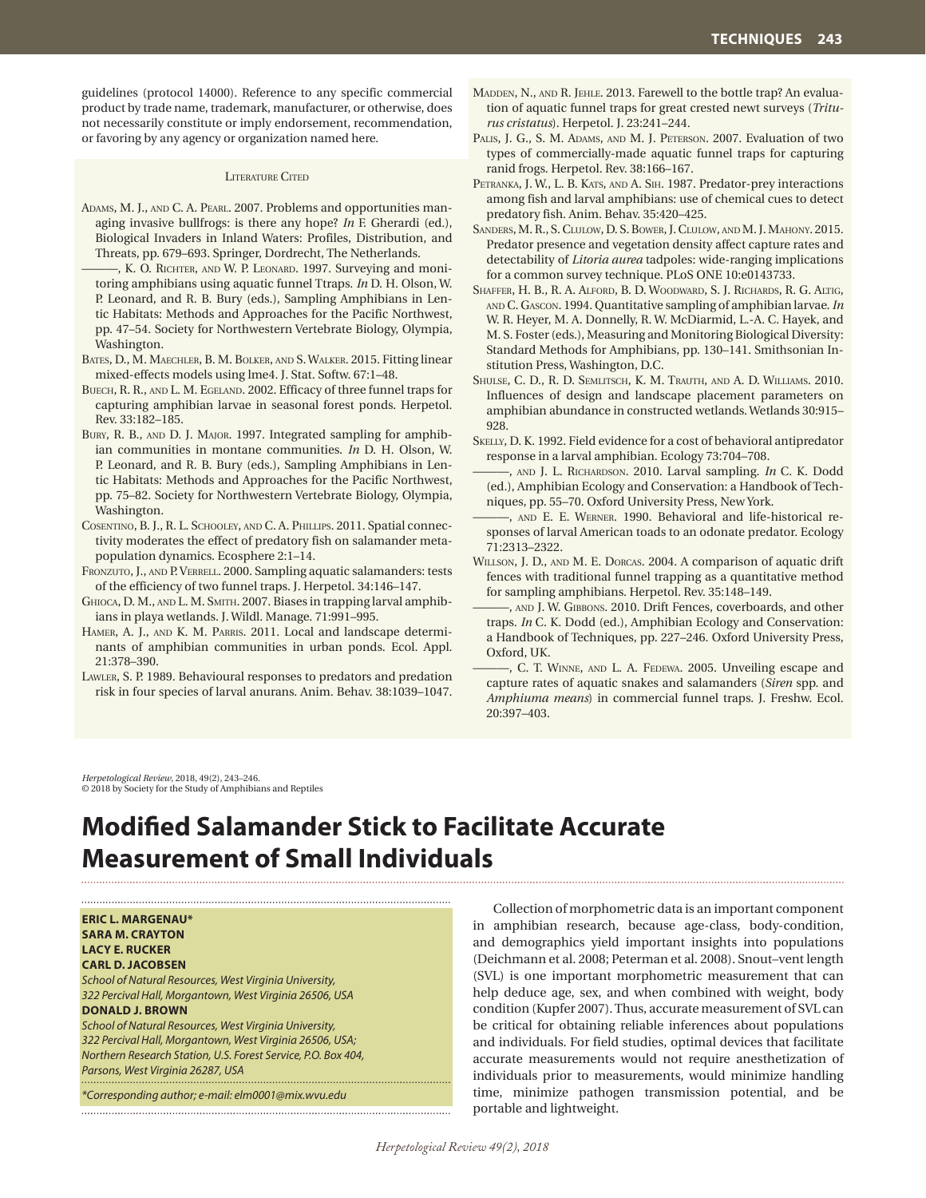guidelines (protocol 14000). Reference to any specific commercial product by trade name, trademark, manufacturer, or otherwise, does not necessarily constitute or imply endorsement, recommendation, or favoring by any agency or organization named here.

## LITERATURE CITED

- ADAMS, M. J., AND C. A. PEARL. 2007. Problems and opportunities managing invasive bullfrogs: is there any hope? *In* F. Gherardi (ed.), Biological Invaders in Inland Waters: Profiles, Distribution, and Threats, pp. 679–693. Springer, Dordrecht, The Netherlands.
- ———, K. O. Richter, and W. P. Leonard. 1997. Surveying and monitoring amphibians using aquatic funnel Ttraps. *In* D. H. Olson, W. P. Leonard, and R. B. Bury (eds.), Sampling Amphibians in Lentic Habitats: Methods and Approaches for the Pacific Northwest, pp. 47–54. Society for Northwestern Vertebrate Biology, Olympia, Washington.
- Bates, D., M. Maechler, B. M. Bolker, and S. Walker. 2015. Fitting linear mixed-effects models using lme4. J. Stat. Softw. 67:1–48.
- Buech, R. R., and L. M. Egeland. 2002. Efficacy of three funnel traps for capturing amphibian larvae in seasonal forest ponds. Herpetol. Rev. 33:182–185.
- Bury, R. B., and D. J. Major. 1997. Integrated sampling for amphibian communities in montane communities. *In* D. H. Olson, W. P. Leonard, and R. B. Bury (eds.), Sampling Amphibians in Lentic Habitats: Methods and Approaches for the Pacific Northwest, pp. 75–82. Society for Northwestern Vertebrate Biology, Olympia, Washington.
- Cosentino, B. J., R. L. Schooley, and C. A. Phillips. 2011. Spatial connectivity moderates the effect of predatory fish on salamander metapopulation dynamics. Ecosphere 2:1–14.
- Fronzuto, J., and P. Verrell. 2000. Sampling aquatic salamanders: tests of the efficiency of two funnel traps. J. Herpetol. 34:146–147.
- Ghioca, D. M., and L. M. Smith. 2007. Biases in trapping larval amphibians in playa wetlands. J. Wildl. Manage. 71:991–995.
- Hamer, A. J., and K. M. Parris. 2011. Local and landscape determinants of amphibian communities in urban ponds. Ecol. Appl. 21:378–390.
- Lawler, S. P. 1989. Behavioural responses to predators and predation risk in four species of larval anurans. Anim. Behav. 38:1039–1047.
- MADDEN, N., AND R. JEHLE. 2013. Farewell to the bottle trap? An evaluation of aquatic funnel traps for great crested newt surveys (*Triturus cristatus*). Herpetol. J. 23:241–244.
- PALIS, J. G., S. M. ADAMS, AND M. J. PETERSON. 2007. Evaluation of two types of commercially-made aquatic funnel traps for capturing ranid frogs. Herpetol. Rev. 38:166–167.
- PETRANKA, J. W., L. B. KATS, AND A. SIH. 1987. Predator-prey interactions among fish and larval amphibians: use of chemical cues to detect predatory fish. Anim. Behav. 35:420–425.
- SANDERS, M. R., S. CLULOW, D. S. BOWER, J. CLULOW, AND M. J. MAHONY. 2015. Predator presence and vegetation density affect capture rates and detectability of *Litoria aurea* tadpoles: wide-ranging implications for a common survey technique. PLoS ONE 10:e0143733.
- Shaffer, H. B., R. A. Alford, B. D. Woodward, S. J. Richards, R. G. Altig, and C. Gascon. 1994. Quantitative sampling of amphibian larvae. *In* W. R. Heyer, M. A. Donnelly, R. W. McDiarmid, L.-A. C. Hayek, and M. S. Foster (eds.), Measuring and Monitoring Biological Diversity: Standard Methods for Amphibians, pp. 130–141. Smithsonian Institution Press, Washington, D.C.
- Shulse, C. D., R. D. Semlitsch, K. M. Trauth, and A. D. Williams. 2010. Influences of design and landscape placement parameters on amphibian abundance in constructed wetlands. Wetlands 30:915– 928.
- Skelly, D. K. 1992. Field evidence for a cost of behavioral antipredator response in a larval amphibian. Ecology 73:704–708.
- ———, and J. L. Richardson. 2010. Larval sampling. *In* C. K. Dodd (ed.), Amphibian Ecology and Conservation: a Handbook of Techniques, pp. 55–70. Oxford University Press, New York.
- ———, and E. E. Werner. 1990. Behavioral and life-historical responses of larval American toads to an odonate predator. Ecology 71:2313–2322.
- Willson, J. D., and M. E. Dorcas. 2004. A comparison of aquatic drift fences with traditional funnel trapping as a quantitative method for sampling amphibians. Herpetol. Rev. 35:148–149.
- ———, and J. W. Gibbons. 2010. Drift Fences, coverboards, and other traps. *In* C. K. Dodd (ed.), Amphibian Ecology and Conservation: a Handbook of Techniques, pp. 227–246. Oxford University Press, Oxford, UK.
- ———, C. T. Winne, and L. A. Fedewa. 2005. Unveiling escape and capture rates of aquatic snakes and salamanders (*Siren* spp. and *Amphiuma means*) in commercial funnel traps. J. Freshw. Ecol. 20:397–403.

*Herpetological Review*, 2018, 49(2), 243–246. © 2018 by Society for the Study of Amphibians and Reptiles

## **Modified Salamander Stick to Facilitate Accurate Measurement of Small Individuals**

**ERIC L. MARGENAU\* SARA M. CRAYTON LACY E. RUCKER CARL D. JACOBSEN**  *School of Natural Resources, West Virginia University,* 

*322 Percival Hall, Morgantown, West Virginia 26506, USA* **DONALD J. BROWN** *School of Natural Resources, West Virginia University,* 

*322 Percival Hall, Morgantown, West Virginia 26506, USA; Northern Research Station, U.S. Forest Service, P.O. Box 404, Parsons, West Virginia 26287, USA*

*\*Corresponding author; e-mail: elm0001@mix.wvu.edu*

Collection of morphometric data is an important component in amphibian research, because age-class, body-condition, and demographics yield important insights into populations (Deichmann et al. 2008; Peterman et al. 2008). Snout–vent length (SVL) is one important morphometric measurement that can help deduce age, sex, and when combined with weight, body condition (Kupfer 2007). Thus, accurate measurement of SVL can be critical for obtaining reliable inferences about populations and individuals. For field studies, optimal devices that facilitate accurate measurements would not require anesthetization of individuals prior to measurements, would minimize handling time, minimize pathogen transmission potential, and be portable and lightweight.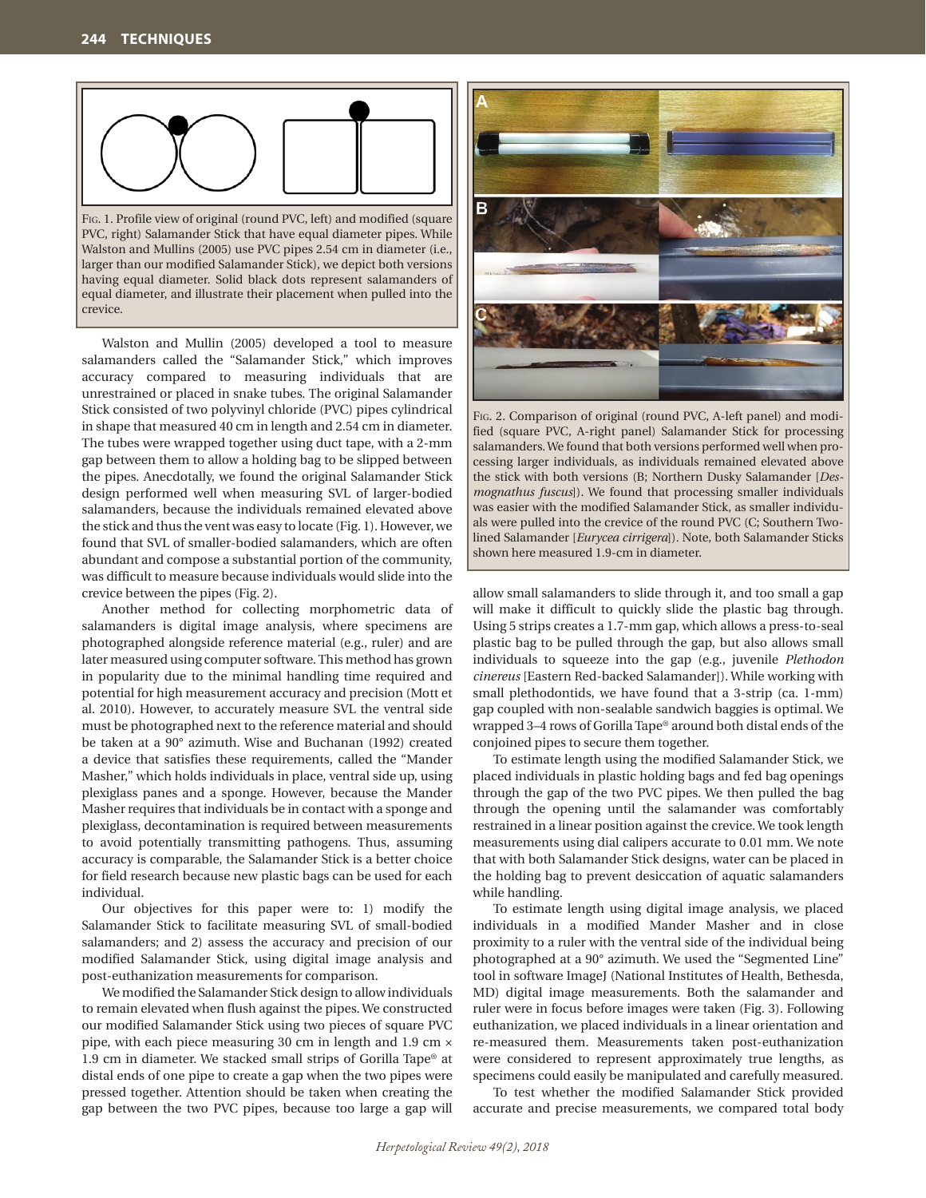

Fig. 1. Profile view of original (round PVC, left) and modified (square PVC, right) Salamander Stick that have equal diameter pipes. While Walston and Mullins (2005) use PVC pipes 2.54 cm in diameter (i.e., larger than our modified Salamander Stick), we depict both versions having equal diameter. Solid black dots represent salamanders of equal diameter, and illustrate their placement when pulled into the crevice.

Walston and Mullin (2005) developed a tool to measure salamanders called the "Salamander Stick," which improves accuracy compared to measuring individuals that are unrestrained or placed in snake tubes. The original Salamander Stick consisted of two polyvinyl chloride (PVC) pipes cylindrical in shape that measured 40 cm in length and 2.54 cm in diameter. The tubes were wrapped together using duct tape, with a 2-mm gap between them to allow a holding bag to be slipped between the pipes. Anecdotally, we found the original Salamander Stick design performed well when measuring SVL of larger-bodied salamanders, because the individuals remained elevated above the stick and thus the vent was easy to locate (Fig. 1). However, we found that SVL of smaller-bodied salamanders, which are often abundant and compose a substantial portion of the community, was difficult to measure because individuals would slide into the crevice between the pipes (Fig. 2).

Another method for collecting morphometric data of salamanders is digital image analysis, where specimens are photographed alongside reference material (e.g., ruler) and are later measured using computer software. This method has grown in popularity due to the minimal handling time required and potential for high measurement accuracy and precision (Mott et al. 2010). However, to accurately measure SVL the ventral side must be photographed next to the reference material and should be taken at a 90° azimuth. Wise and Buchanan (1992) created a device that satisfies these requirements, called the "Mander Masher," which holds individuals in place, ventral side up, using plexiglass panes and a sponge. However, because the Mander Masher requires that individuals be in contact with a sponge and plexiglass, decontamination is required between measurements to avoid potentially transmitting pathogens. Thus, assuming accuracy is comparable, the Salamander Stick is a better choice for field research because new plastic bags can be used for each individual.

Our objectives for this paper were to: 1) modify the Salamander Stick to facilitate measuring SVL of small-bodied salamanders; and 2) assess the accuracy and precision of our modified Salamander Stick, using digital image analysis and post-euthanization measurements for comparison.

We modified the Salamander Stick design to allow individuals to remain elevated when flush against the pipes. We constructed our modified Salamander Stick using two pieces of square PVC pipe, with each piece measuring 30 cm in length and 1.9 cm × 1.9 cm in diameter. We stacked small strips of Gorilla Tape® at distal ends of one pipe to create a gap when the two pipes were pressed together. Attention should be taken when creating the gap between the two PVC pipes, because too large a gap will



Fig. 2. Comparison of original (round PVC, A-left panel) and modified (square PVC, A-right panel) Salamander Stick for processing salamanders. We found that both versions performed well when processing larger individuals, as individuals remained elevated above the stick with both versions (B; Northern Dusky Salamander [*Desmognathus fuscus*]). We found that processing smaller individuals was easier with the modified Salamander Stick, as smaller individuals were pulled into the crevice of the round PVC (C; Southern Twolined Salamander [*Eurycea cirrigera*]). Note, both Salamander Sticks shown here measured 1.9-cm in diameter.

allow small salamanders to slide through it, and too small a gap will make it difficult to quickly slide the plastic bag through. Using 5 strips creates a 1.7-mm gap, which allows a press-to-seal plastic bag to be pulled through the gap, but also allows small individuals to squeeze into the gap (e.g., juvenile *Plethodon cinereus* [Eastern Red-backed Salamander]). While working with small plethodontids, we have found that a 3-strip (ca. 1-mm) gap coupled with non-sealable sandwich baggies is optimal. We wrapped 3–4 rows of Gorilla Tape® around both distal ends of the conjoined pipes to secure them together.

To estimate length using the modified Salamander Stick, we placed individuals in plastic holding bags and fed bag openings through the gap of the two PVC pipes. We then pulled the bag through the opening until the salamander was comfortably restrained in a linear position against the crevice. We took length measurements using dial calipers accurate to 0.01 mm. We note that with both Salamander Stick designs, water can be placed in the holding bag to prevent desiccation of aquatic salamanders while handling.

To estimate length using digital image analysis, we placed individuals in a modified Mander Masher and in close proximity to a ruler with the ventral side of the individual being photographed at a 90° azimuth. We used the "Segmented Line" tool in software ImageJ (National Institutes of Health, Bethesda, MD) digital image measurements. Both the salamander and ruler were in focus before images were taken (Fig. 3). Following euthanization, we placed individuals in a linear orientation and re-measured them. Measurements taken post-euthanization were considered to represent approximately true lengths, as specimens could easily be manipulated and carefully measured.

To test whether the modified Salamander Stick provided accurate and precise measurements, we compared total body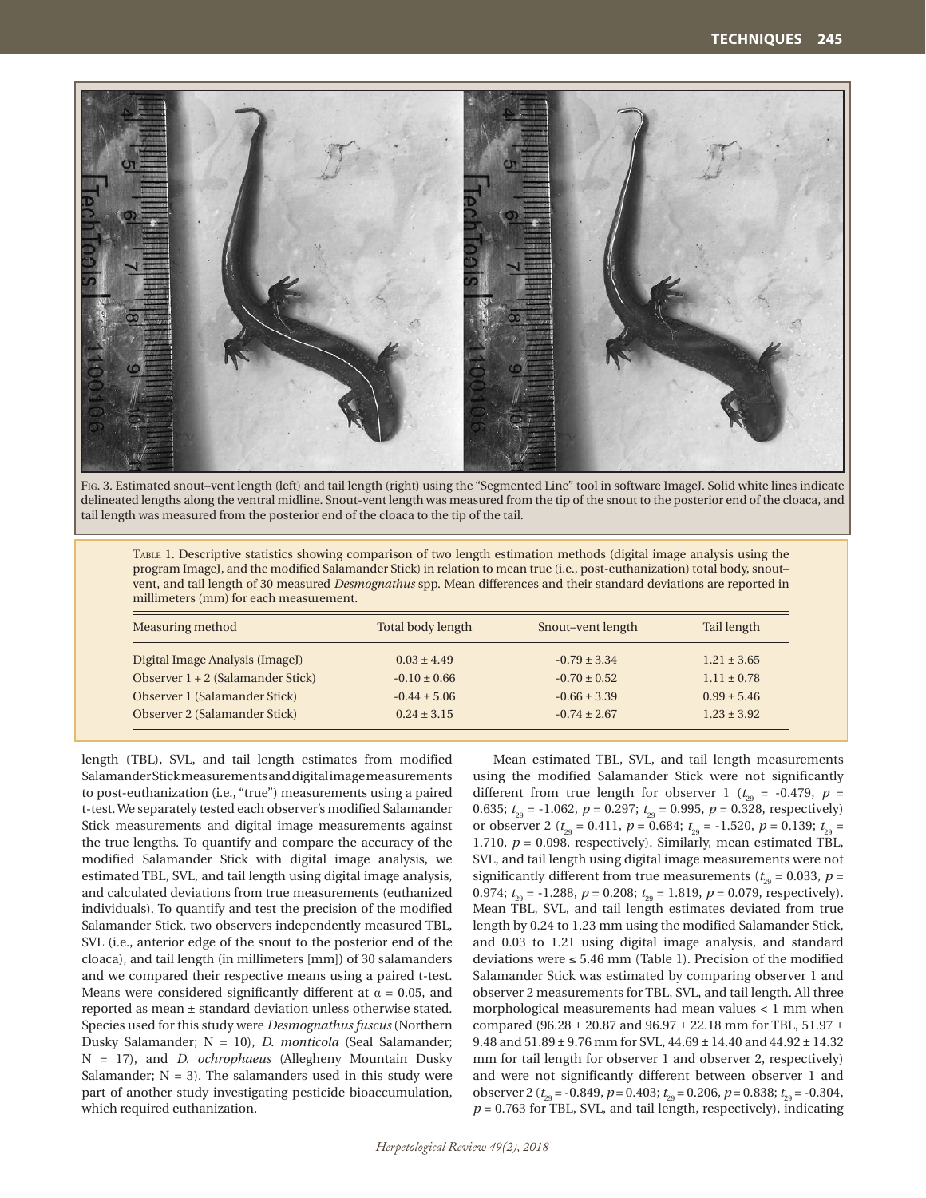

Fig. 3. Estimated snout–vent length (left) and tail length (right) using the "Segmented Line" tool in software ImageJ. Solid white lines indicate delineated lengths along the ventral midline. Snout-vent length was measured from the tip of the snout to the posterior end of the cloaca, and tail length was measured from the posterior end of the cloaca to the tip of the tail.

Table 1. Descriptive statistics showing comparison of two length estimation methods (digital image analysis using the program ImageJ, and the modified Salamander Stick) in relation to mean true (i.e., post-euthanization) total body, snout– vent, and tail length of 30 measured *Desmognathus* spp. Mean differences and their standard deviations are reported in millimeters (mm) for each measurement.

| Measuring method                    | Total body length | Snout-vent length | Tail length     |
|-------------------------------------|-------------------|-------------------|-----------------|
| Digital Image Analysis (ImageJ)     | $0.03 \pm 4.49$   | $-0.79 \pm 3.34$  | $1.21 \pm 3.65$ |
| Observer $1 + 2$ (Salamander Stick) | $-0.10 \pm 0.66$  | $-0.70 \pm 0.52$  | $1.11 \pm 0.78$ |
| Observer 1 (Salamander Stick)       | $-0.44 \pm 5.06$  | $-0.66 \pm 3.39$  | $0.99 \pm 5.46$ |
| Observer 2 (Salamander Stick)       | $0.24 \pm 3.15$   | $-0.74 \pm 2.67$  | $1.23 \pm 3.92$ |

length (TBL), SVL, and tail length estimates from modified Salamander Stick measurements and digital image measurements to post-euthanization (i.e., "true") measurements using a paired t-test. We separately tested each observer's modified Salamander Stick measurements and digital image measurements against the true lengths. To quantify and compare the accuracy of the modified Salamander Stick with digital image analysis, we estimated TBL, SVL, and tail length using digital image analysis, and calculated deviations from true measurements (euthanized individuals). To quantify and test the precision of the modified Salamander Stick, two observers independently measured TBL, SVL (i.e., anterior edge of the snout to the posterior end of the cloaca), and tail length (in millimeters [mm]) of 30 salamanders and we compared their respective means using a paired t-test. Means were considered significantly different at  $\alpha = 0.05$ , and reported as mean ± standard deviation unless otherwise stated. Species used for this study were *Desmognathus fuscus* (Northern Dusky Salamander; N = 10), *D. monticola* (Seal Salamander; N = 17), and *D. ochrophaeus* (Allegheny Mountain Dusky Salamander;  $N = 3$ ). The salamanders used in this study were part of another study investigating pesticide bioaccumulation, which required euthanization.

Mean estimated TBL, SVL, and tail length measurements using the modified Salamander Stick were not significantly different from true length for observer 1 ( $t_{29}$  = -0.479,  $p =$ 0.635;  $t_{29} = -1.062$ ,  $p = 0.297$ ;  $t_{29} = 0.995$ ,  $p = 0.328$ , respectively) or observer 2 ( $t_{29} = 0.411$ ,  $p = 0.684$ ;  $t_{29} = -1.520$ ,  $p = 0.139$ ;  $t_{29} =$ 1.710,  $p = 0.098$ , respectively). Similarly, mean estimated TBL, SVL, and tail length using digital image measurements were not significantly different from true measurements ( $t_{29} = 0.033$ ,  $p =$ 0.974;  $t_{\text{eq}} = -1.288$ ,  $p = 0.208$ ;  $t_{\text{eq}} = 1.819$ ,  $p = 0.079$ , respectively). Mean TBL, SVL, and tail length estimates deviated from true length by 0.24 to 1.23 mm using the modified Salamander Stick, and 0.03 to 1.21 using digital image analysis, and standard deviations were  $\leq 5.46$  mm (Table 1). Precision of the modified Salamander Stick was estimated by comparing observer 1 and observer 2 measurements for TBL, SVL, and tail length. All three morphological measurements had mean values < 1 mm when compared (96.28  $\pm$  20.87 and 96.97  $\pm$  22.18 mm for TBL, 51.97  $\pm$ 9.48 and  $51.89 \pm 9.76$  mm for SVL,  $44.69 \pm 14.40$  and  $44.92 \pm 14.32$ mm for tail length for observer 1 and observer 2, respectively) and were not significantly different between observer 1 and observer 2 ( $t_{29}$  = -0.849,  $p = 0.403$ ;  $t_{29} = 0.206$ ,  $p = 0.838$ ;  $t_{29} = -0.304$ ,  $p = 0.763$  for TBL, SVL, and tail length, respectively), indicating